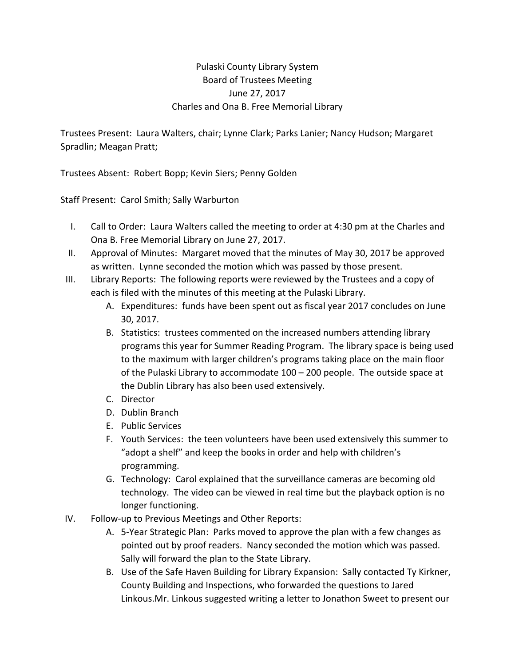## Pulaski County Library System Board of Trustees Meeting June 27, 2017 Charles and Ona B. Free Memorial Library

Trustees Present: Laura Walters, chair; Lynne Clark; Parks Lanier; Nancy Hudson; Margaret Spradlin; Meagan Pratt;

Trustees Absent: Robert Bopp; Kevin Siers; Penny Golden

Staff Present: Carol Smith; Sally Warburton

- I. Call to Order: Laura Walters called the meeting to order at 4:30 pm at the Charles and Ona B. Free Memorial Library on June 27, 2017.
- II. Approval of Minutes: Margaret moved that the minutes of May 30, 2017 be approved as written. Lynne seconded the motion which was passed by those present.
- III. Library Reports: The following reports were reviewed by the Trustees and a copy of each is filed with the minutes of this meeting at the Pulaski Library.
	- A. Expenditures: funds have been spent out as fiscal year 2017 concludes on June 30, 2017.
	- B. Statistics: trustees commented on the increased numbers attending library programs this year for Summer Reading Program. The library space is being used to the maximum with larger children's programs taking place on the main floor of the Pulaski Library to accommodate 100 – 200 people. The outside space at the Dublin Library has also been used extensively.
	- C. Director
	- D. Dublin Branch
	- E. Public Services
	- F. Youth Services: the teen volunteers have been used extensively this summer to "adopt a shelf" and keep the books in order and help with children's programming.
	- G. Technology: Carol explained that the surveillance cameras are becoming old technology. The video can be viewed in real time but the playback option is no longer functioning.
- IV. Follow‐up to Previous Meetings and Other Reports:
	- A. 5‐Year Strategic Plan: Parks moved to approve the plan with a few changes as pointed out by proof readers. Nancy seconded the motion which was passed. Sally will forward the plan to the State Library.
	- B. Use of the Safe Haven Building for Library Expansion: Sally contacted Ty Kirkner, County Building and Inspections, who forwarded the questions to Jared Linkous.Mr. Linkous suggested writing a letter to Jonathon Sweet to present our